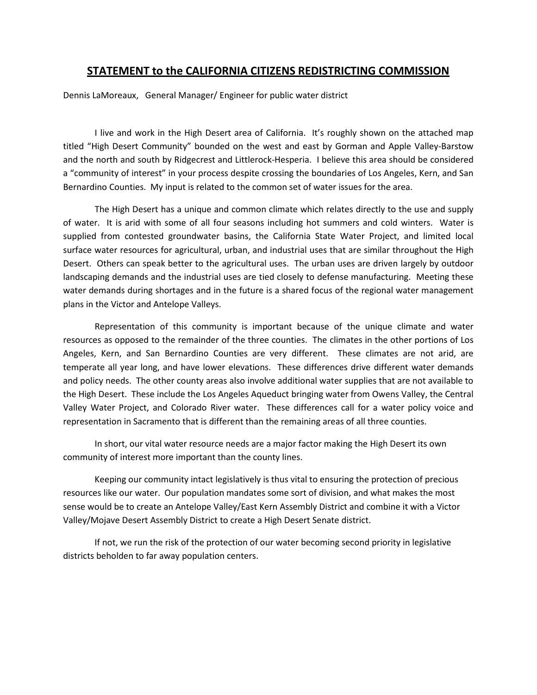## **STATEMENT to the CALIFORNIA CITIZENS REDISTRICTING COMMISSION**

Dennis LaMoreaux, General Manager/ Engineer for public water district

I live and work in the High Desert area of California. It's roughly shown on the attached map and the north and south by Ridgecrest and Littlerock-Hesperia. I believe this area should be considered Bernardino Counties. My input is related to the common set of water issues for the area. titled "High Desert Community" bounded on the west and east by Gorman and Apple Valley-Barstow a "community of interest" in your process despite crossing the boundaries of Los Angeles, Kern, and San

 of water. It is arid with some of all four seasons including hot summers and cold winters. Water is water demands during shortages and in the future is a shared focus of the regional water management The High Desert has a unique and common climate which relates directly to the use and supply supplied from contested groundwater basins, the California State Water Project, and limited local surface water resources for agricultural, urban, and industrial uses that are similar throughout the High Desert. Others can speak better to the agricultural uses. The urban uses are driven largely by outdoor landscaping demands and the industrial uses are tied closely to defense manufacturing. Meeting these plans in the Victor and Antelope Valleys.

 resources as opposed to the remainder of the three counties. The climates in the other portions of Los Angeles, Kern, and San Bernardino Counties are very different. These climates are not arid, are and policy needs. The other county areas also involve additional water supplies that are not available to Valley Water Project, and Colorado River water. These differences call for a water policy voice and Representation of this community is important because of the unique climate and water temperate all year long, and have lower elevations. These differences drive different water demands the High Desert. These include the Los Angeles Aqueduct bringing water from Owens Valley, the Central representation in Sacramento that is different than the remaining areas of all three counties.

community of interest more important than the county lines. In short, our vital water resource needs are a major factor making the High Desert its own

community of interest more important than the county lines.<br>Keeping our community intact legislatively is thus vital to ensuring the protection of precious resources like our water. Our population mandates some sort of division, and what makes the most Valley/Mojave Desert Assembly District to create a High Desert Senate district. sense would be to create an Antelope Valley/East Kern Assembly District and combine it with a Victor

If not, we run the risk of the protection of our water becoming second priority in legislative districts beholden to far away population centers.